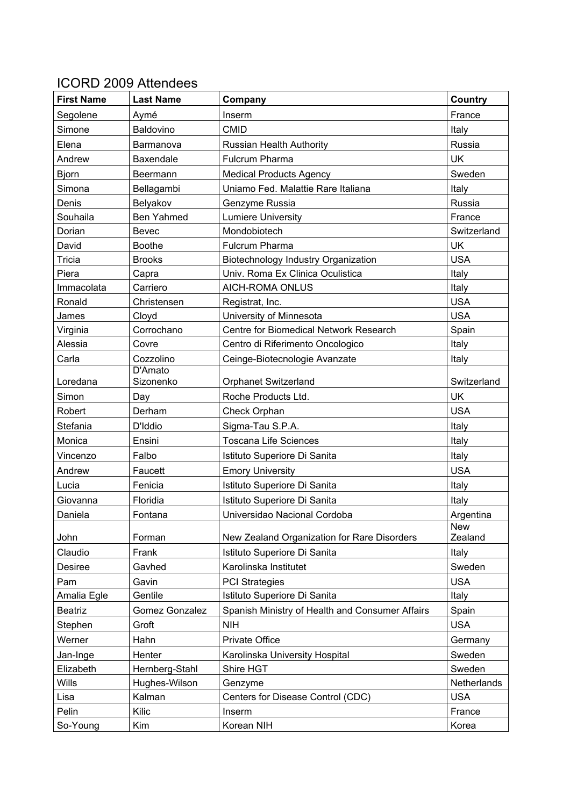## ICORD 2009 Attendees

| France<br>Segolene<br>Aymé<br>Inserm<br><b>CMID</b><br>Simone<br><b>Baldovino</b><br>Italy<br>Russia<br>Elena<br>Russian Health Authority<br>Barmanova<br>UK<br>Andrew<br>Fulcrum Pharma<br>Baxendale<br>Sweden<br><b>Bjorn</b><br><b>Medical Products Agency</b><br>Beermann<br>Uniamo Fed. Malattie Rare Italiana<br>Simona<br>Bellagambi<br>Italy<br>Russia<br>Denis<br>Belyakov<br>Genzyme Russia<br>Souhaila<br>Ben Yahmed<br><b>Lumiere University</b><br>France<br>Mondobiotech<br>Dorian<br><b>Bevec</b><br>Switzerland<br>David<br><b>Boothe</b><br>Fulcrum Pharma<br><b>UK</b><br><b>USA</b><br>Tricia<br><b>Brooks</b><br>Biotechnology Industry Organization<br>Univ. Roma Ex Clinica Oculistica<br>Piera<br>Capra<br>Italy<br>Immacolata<br>Carriero<br><b>AICH-ROMA ONLUS</b><br>Italy<br><b>USA</b><br>Ronald<br>Christensen<br>Registrat, Inc.<br><b>USA</b><br>Cloyd<br>University of Minnesota<br>James<br>Centre for Biomedical Network Research<br>Virginia<br>Corrochano<br>Spain<br>Alessia<br>Centro di Riferimento Oncologico<br>Italy<br>Covre<br>Cozzolino<br>Ceinge-Biotecnologie Avanzate<br>Carla<br>Italy<br>D'Amato<br>Loredana<br>Sizonenko<br><b>Orphanet Switzerland</b><br>Switzerland<br><b>UK</b><br>Roche Products Ltd.<br>Simon<br>Day<br><b>USA</b><br>Robert<br>Derham<br>Check Orphan<br>Stefania<br>Sigma-Tau S.P.A.<br>D'Iddio<br>Italy<br>Monica<br><b>Toscana Life Sciences</b><br>Ensini<br>Italy<br>Vincenzo<br>Falbo<br>Istituto Superiore Di Sanita<br>Italy<br><b>USA</b><br><b>Emory University</b><br>Andrew<br>Faucett<br>Fenicia<br>Istituto Superiore Di Sanita<br>Lucia<br>Italy<br>Floridia<br>Istituto Superiore Di Sanita<br>Italy<br>Giovanna<br>Universidao Nacional Cordoba<br>Daniela<br>Argentina<br>Fontana<br><b>New</b><br>Zealand<br>John<br>Forman<br>New Zealand Organization for Rare Disorders<br>Claudio<br>Istituto Superiore Di Sanita<br>Frank<br>Italy<br>Sweden<br>Gavhed<br>Karolinska Institutet<br>Desiree<br><b>USA</b><br>Pam<br><b>PCI Strategies</b><br>Gavin<br>Istituto Superiore Di Sanita<br>Gentile<br>Amalia Egle<br>Italy | <b>First Name</b> | <b>Last Name</b> | Company | Country |
|------------------------------------------------------------------------------------------------------------------------------------------------------------------------------------------------------------------------------------------------------------------------------------------------------------------------------------------------------------------------------------------------------------------------------------------------------------------------------------------------------------------------------------------------------------------------------------------------------------------------------------------------------------------------------------------------------------------------------------------------------------------------------------------------------------------------------------------------------------------------------------------------------------------------------------------------------------------------------------------------------------------------------------------------------------------------------------------------------------------------------------------------------------------------------------------------------------------------------------------------------------------------------------------------------------------------------------------------------------------------------------------------------------------------------------------------------------------------------------------------------------------------------------------------------------------------------------------------------------------------------------------------------------------------------------------------------------------------------------------------------------------------------------------------------------------------------------------------------------------------------------------------------------------------------------------------------------------------------------------------------------------------------------------------------------------------------------------------------------------------|-------------------|------------------|---------|---------|
|                                                                                                                                                                                                                                                                                                                                                                                                                                                                                                                                                                                                                                                                                                                                                                                                                                                                                                                                                                                                                                                                                                                                                                                                                                                                                                                                                                                                                                                                                                                                                                                                                                                                                                                                                                                                                                                                                                                                                                                                                                                                                                                        |                   |                  |         |         |
|                                                                                                                                                                                                                                                                                                                                                                                                                                                                                                                                                                                                                                                                                                                                                                                                                                                                                                                                                                                                                                                                                                                                                                                                                                                                                                                                                                                                                                                                                                                                                                                                                                                                                                                                                                                                                                                                                                                                                                                                                                                                                                                        |                   |                  |         |         |
|                                                                                                                                                                                                                                                                                                                                                                                                                                                                                                                                                                                                                                                                                                                                                                                                                                                                                                                                                                                                                                                                                                                                                                                                                                                                                                                                                                                                                                                                                                                                                                                                                                                                                                                                                                                                                                                                                                                                                                                                                                                                                                                        |                   |                  |         |         |
|                                                                                                                                                                                                                                                                                                                                                                                                                                                                                                                                                                                                                                                                                                                                                                                                                                                                                                                                                                                                                                                                                                                                                                                                                                                                                                                                                                                                                                                                                                                                                                                                                                                                                                                                                                                                                                                                                                                                                                                                                                                                                                                        |                   |                  |         |         |
|                                                                                                                                                                                                                                                                                                                                                                                                                                                                                                                                                                                                                                                                                                                                                                                                                                                                                                                                                                                                                                                                                                                                                                                                                                                                                                                                                                                                                                                                                                                                                                                                                                                                                                                                                                                                                                                                                                                                                                                                                                                                                                                        |                   |                  |         |         |
|                                                                                                                                                                                                                                                                                                                                                                                                                                                                                                                                                                                                                                                                                                                                                                                                                                                                                                                                                                                                                                                                                                                                                                                                                                                                                                                                                                                                                                                                                                                                                                                                                                                                                                                                                                                                                                                                                                                                                                                                                                                                                                                        |                   |                  |         |         |
|                                                                                                                                                                                                                                                                                                                                                                                                                                                                                                                                                                                                                                                                                                                                                                                                                                                                                                                                                                                                                                                                                                                                                                                                                                                                                                                                                                                                                                                                                                                                                                                                                                                                                                                                                                                                                                                                                                                                                                                                                                                                                                                        |                   |                  |         |         |
|                                                                                                                                                                                                                                                                                                                                                                                                                                                                                                                                                                                                                                                                                                                                                                                                                                                                                                                                                                                                                                                                                                                                                                                                                                                                                                                                                                                                                                                                                                                                                                                                                                                                                                                                                                                                                                                                                                                                                                                                                                                                                                                        |                   |                  |         |         |
|                                                                                                                                                                                                                                                                                                                                                                                                                                                                                                                                                                                                                                                                                                                                                                                                                                                                                                                                                                                                                                                                                                                                                                                                                                                                                                                                                                                                                                                                                                                                                                                                                                                                                                                                                                                                                                                                                                                                                                                                                                                                                                                        |                   |                  |         |         |
|                                                                                                                                                                                                                                                                                                                                                                                                                                                                                                                                                                                                                                                                                                                                                                                                                                                                                                                                                                                                                                                                                                                                                                                                                                                                                                                                                                                                                                                                                                                                                                                                                                                                                                                                                                                                                                                                                                                                                                                                                                                                                                                        |                   |                  |         |         |
|                                                                                                                                                                                                                                                                                                                                                                                                                                                                                                                                                                                                                                                                                                                                                                                                                                                                                                                                                                                                                                                                                                                                                                                                                                                                                                                                                                                                                                                                                                                                                                                                                                                                                                                                                                                                                                                                                                                                                                                                                                                                                                                        |                   |                  |         |         |
|                                                                                                                                                                                                                                                                                                                                                                                                                                                                                                                                                                                                                                                                                                                                                                                                                                                                                                                                                                                                                                                                                                                                                                                                                                                                                                                                                                                                                                                                                                                                                                                                                                                                                                                                                                                                                                                                                                                                                                                                                                                                                                                        |                   |                  |         |         |
|                                                                                                                                                                                                                                                                                                                                                                                                                                                                                                                                                                                                                                                                                                                                                                                                                                                                                                                                                                                                                                                                                                                                                                                                                                                                                                                                                                                                                                                                                                                                                                                                                                                                                                                                                                                                                                                                                                                                                                                                                                                                                                                        |                   |                  |         |         |
|                                                                                                                                                                                                                                                                                                                                                                                                                                                                                                                                                                                                                                                                                                                                                                                                                                                                                                                                                                                                                                                                                                                                                                                                                                                                                                                                                                                                                                                                                                                                                                                                                                                                                                                                                                                                                                                                                                                                                                                                                                                                                                                        |                   |                  |         |         |
|                                                                                                                                                                                                                                                                                                                                                                                                                                                                                                                                                                                                                                                                                                                                                                                                                                                                                                                                                                                                                                                                                                                                                                                                                                                                                                                                                                                                                                                                                                                                                                                                                                                                                                                                                                                                                                                                                                                                                                                                                                                                                                                        |                   |                  |         |         |
|                                                                                                                                                                                                                                                                                                                                                                                                                                                                                                                                                                                                                                                                                                                                                                                                                                                                                                                                                                                                                                                                                                                                                                                                                                                                                                                                                                                                                                                                                                                                                                                                                                                                                                                                                                                                                                                                                                                                                                                                                                                                                                                        |                   |                  |         |         |
|                                                                                                                                                                                                                                                                                                                                                                                                                                                                                                                                                                                                                                                                                                                                                                                                                                                                                                                                                                                                                                                                                                                                                                                                                                                                                                                                                                                                                                                                                                                                                                                                                                                                                                                                                                                                                                                                                                                                                                                                                                                                                                                        |                   |                  |         |         |
|                                                                                                                                                                                                                                                                                                                                                                                                                                                                                                                                                                                                                                                                                                                                                                                                                                                                                                                                                                                                                                                                                                                                                                                                                                                                                                                                                                                                                                                                                                                                                                                                                                                                                                                                                                                                                                                                                                                                                                                                                                                                                                                        |                   |                  |         |         |
|                                                                                                                                                                                                                                                                                                                                                                                                                                                                                                                                                                                                                                                                                                                                                                                                                                                                                                                                                                                                                                                                                                                                                                                                                                                                                                                                                                                                                                                                                                                                                                                                                                                                                                                                                                                                                                                                                                                                                                                                                                                                                                                        |                   |                  |         |         |
|                                                                                                                                                                                                                                                                                                                                                                                                                                                                                                                                                                                                                                                                                                                                                                                                                                                                                                                                                                                                                                                                                                                                                                                                                                                                                                                                                                                                                                                                                                                                                                                                                                                                                                                                                                                                                                                                                                                                                                                                                                                                                                                        |                   |                  |         |         |
|                                                                                                                                                                                                                                                                                                                                                                                                                                                                                                                                                                                                                                                                                                                                                                                                                                                                                                                                                                                                                                                                                                                                                                                                                                                                                                                                                                                                                                                                                                                                                                                                                                                                                                                                                                                                                                                                                                                                                                                                                                                                                                                        |                   |                  |         |         |
|                                                                                                                                                                                                                                                                                                                                                                                                                                                                                                                                                                                                                                                                                                                                                                                                                                                                                                                                                                                                                                                                                                                                                                                                                                                                                                                                                                                                                                                                                                                                                                                                                                                                                                                                                                                                                                                                                                                                                                                                                                                                                                                        |                   |                  |         |         |
|                                                                                                                                                                                                                                                                                                                                                                                                                                                                                                                                                                                                                                                                                                                                                                                                                                                                                                                                                                                                                                                                                                                                                                                                                                                                                                                                                                                                                                                                                                                                                                                                                                                                                                                                                                                                                                                                                                                                                                                                                                                                                                                        |                   |                  |         |         |
|                                                                                                                                                                                                                                                                                                                                                                                                                                                                                                                                                                                                                                                                                                                                                                                                                                                                                                                                                                                                                                                                                                                                                                                                                                                                                                                                                                                                                                                                                                                                                                                                                                                                                                                                                                                                                                                                                                                                                                                                                                                                                                                        |                   |                  |         |         |
|                                                                                                                                                                                                                                                                                                                                                                                                                                                                                                                                                                                                                                                                                                                                                                                                                                                                                                                                                                                                                                                                                                                                                                                                                                                                                                                                                                                                                                                                                                                                                                                                                                                                                                                                                                                                                                                                                                                                                                                                                                                                                                                        |                   |                  |         |         |
|                                                                                                                                                                                                                                                                                                                                                                                                                                                                                                                                                                                                                                                                                                                                                                                                                                                                                                                                                                                                                                                                                                                                                                                                                                                                                                                                                                                                                                                                                                                                                                                                                                                                                                                                                                                                                                                                                                                                                                                                                                                                                                                        |                   |                  |         |         |
|                                                                                                                                                                                                                                                                                                                                                                                                                                                                                                                                                                                                                                                                                                                                                                                                                                                                                                                                                                                                                                                                                                                                                                                                                                                                                                                                                                                                                                                                                                                                                                                                                                                                                                                                                                                                                                                                                                                                                                                                                                                                                                                        |                   |                  |         |         |
|                                                                                                                                                                                                                                                                                                                                                                                                                                                                                                                                                                                                                                                                                                                                                                                                                                                                                                                                                                                                                                                                                                                                                                                                                                                                                                                                                                                                                                                                                                                                                                                                                                                                                                                                                                                                                                                                                                                                                                                                                                                                                                                        |                   |                  |         |         |
|                                                                                                                                                                                                                                                                                                                                                                                                                                                                                                                                                                                                                                                                                                                                                                                                                                                                                                                                                                                                                                                                                                                                                                                                                                                                                                                                                                                                                                                                                                                                                                                                                                                                                                                                                                                                                                                                                                                                                                                                                                                                                                                        |                   |                  |         |         |
|                                                                                                                                                                                                                                                                                                                                                                                                                                                                                                                                                                                                                                                                                                                                                                                                                                                                                                                                                                                                                                                                                                                                                                                                                                                                                                                                                                                                                                                                                                                                                                                                                                                                                                                                                                                                                                                                                                                                                                                                                                                                                                                        |                   |                  |         |         |
|                                                                                                                                                                                                                                                                                                                                                                                                                                                                                                                                                                                                                                                                                                                                                                                                                                                                                                                                                                                                                                                                                                                                                                                                                                                                                                                                                                                                                                                                                                                                                                                                                                                                                                                                                                                                                                                                                                                                                                                                                                                                                                                        |                   |                  |         |         |
|                                                                                                                                                                                                                                                                                                                                                                                                                                                                                                                                                                                                                                                                                                                                                                                                                                                                                                                                                                                                                                                                                                                                                                                                                                                                                                                                                                                                                                                                                                                                                                                                                                                                                                                                                                                                                                                                                                                                                                                                                                                                                                                        |                   |                  |         |         |
|                                                                                                                                                                                                                                                                                                                                                                                                                                                                                                                                                                                                                                                                                                                                                                                                                                                                                                                                                                                                                                                                                                                                                                                                                                                                                                                                                                                                                                                                                                                                                                                                                                                                                                                                                                                                                                                                                                                                                                                                                                                                                                                        |                   |                  |         |         |
| Gomez Gonzalez<br>Spanish Ministry of Health and Consumer Affairs<br><b>Beatriz</b><br>Spain                                                                                                                                                                                                                                                                                                                                                                                                                                                                                                                                                                                                                                                                                                                                                                                                                                                                                                                                                                                                                                                                                                                                                                                                                                                                                                                                                                                                                                                                                                                                                                                                                                                                                                                                                                                                                                                                                                                                                                                                                           |                   |                  |         |         |
| <b>NIH</b><br>Stephen<br>Groft<br><b>USA</b>                                                                                                                                                                                                                                                                                                                                                                                                                                                                                                                                                                                                                                                                                                                                                                                                                                                                                                                                                                                                                                                                                                                                                                                                                                                                                                                                                                                                                                                                                                                                                                                                                                                                                                                                                                                                                                                                                                                                                                                                                                                                           |                   |                  |         |         |
| Werner<br>Private Office<br>Hahn<br>Germany                                                                                                                                                                                                                                                                                                                                                                                                                                                                                                                                                                                                                                                                                                                                                                                                                                                                                                                                                                                                                                                                                                                                                                                                                                                                                                                                                                                                                                                                                                                                                                                                                                                                                                                                                                                                                                                                                                                                                                                                                                                                            |                   |                  |         |         |
| Sweden<br>Henter<br>Karolinska University Hospital<br>Jan-Inge                                                                                                                                                                                                                                                                                                                                                                                                                                                                                                                                                                                                                                                                                                                                                                                                                                                                                                                                                                                                                                                                                                                                                                                                                                                                                                                                                                                                                                                                                                                                                                                                                                                                                                                                                                                                                                                                                                                                                                                                                                                         |                   |                  |         |         |
| Hernberg-Stahl<br>Shire HGT<br>Elizabeth<br>Sweden                                                                                                                                                                                                                                                                                                                                                                                                                                                                                                                                                                                                                                                                                                                                                                                                                                                                                                                                                                                                                                                                                                                                                                                                                                                                                                                                                                                                                                                                                                                                                                                                                                                                                                                                                                                                                                                                                                                                                                                                                                                                     |                   |                  |         |         |
| Wills<br>Hughes-Wilson<br>Netherlands<br>Genzyme                                                                                                                                                                                                                                                                                                                                                                                                                                                                                                                                                                                                                                                                                                                                                                                                                                                                                                                                                                                                                                                                                                                                                                                                                                                                                                                                                                                                                                                                                                                                                                                                                                                                                                                                                                                                                                                                                                                                                                                                                                                                       |                   |                  |         |         |
| <b>USA</b><br>Lisa<br>Kalman<br>Centers for Disease Control (CDC)                                                                                                                                                                                                                                                                                                                                                                                                                                                                                                                                                                                                                                                                                                                                                                                                                                                                                                                                                                                                                                                                                                                                                                                                                                                                                                                                                                                                                                                                                                                                                                                                                                                                                                                                                                                                                                                                                                                                                                                                                                                      |                   |                  |         |         |
| Pelin<br>Kilic<br>France<br>Inserm                                                                                                                                                                                                                                                                                                                                                                                                                                                                                                                                                                                                                                                                                                                                                                                                                                                                                                                                                                                                                                                                                                                                                                                                                                                                                                                                                                                                                                                                                                                                                                                                                                                                                                                                                                                                                                                                                                                                                                                                                                                                                     |                   |                  |         |         |
| Kim<br>Korean NIH<br>Korea<br>So-Young                                                                                                                                                                                                                                                                                                                                                                                                                                                                                                                                                                                                                                                                                                                                                                                                                                                                                                                                                                                                                                                                                                                                                                                                                                                                                                                                                                                                                                                                                                                                                                                                                                                                                                                                                                                                                                                                                                                                                                                                                                                                                 |                   |                  |         |         |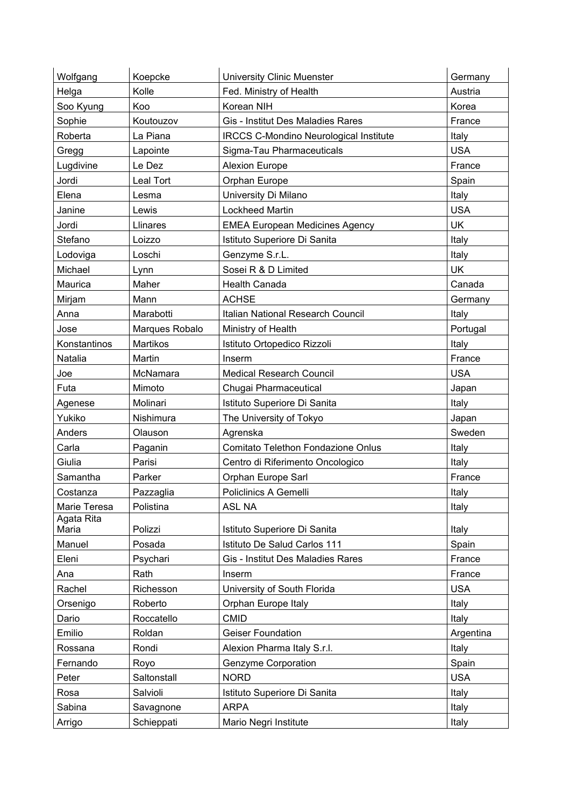| Wolfgang            | Koepcke          | <b>University Clinic Muenster</b>             | Germany    |
|---------------------|------------------|-----------------------------------------------|------------|
| Helga               | Kolle            | Fed. Ministry of Health                       | Austria    |
| Soo Kyung           | Koo              | Korean NIH                                    | Korea      |
| Sophie              | Koutouzov        | Gis - Institut Des Maladies Rares             | France     |
| Roberta             | La Piana         | <b>IRCCS C-Mondino Neurological Institute</b> | Italy      |
| Gregg               | Lapointe         | Sigma-Tau Pharmaceuticals                     | <b>USA</b> |
| Lugdivine           | Le Dez           | <b>Alexion Europe</b>                         | France     |
| Jordi               | <b>Leal Tort</b> | Orphan Europe                                 | Spain      |
| Elena               | Lesma            | University Di Milano                          | Italy      |
| Janine              | Lewis            | <b>Lockheed Martin</b>                        | <b>USA</b> |
| Jordi               | Llinares         | <b>EMEA European Medicines Agency</b>         | <b>UK</b>  |
| Stefano             | Loizzo           | Istituto Superiore Di Sanita                  | Italy      |
| Lodoviga            | Loschi           | Genzyme S.r.L.                                | Italy      |
| Michael             | Lynn             | Sosei R & D Limited                           | <b>UK</b>  |
| Maurica             | Maher            | <b>Health Canada</b>                          | Canada     |
| Mirjam              | Mann             | <b>ACHSE</b>                                  | Germany    |
| Anna                | Marabotti        | Italian National Research Council             | Italy      |
| Jose                | Marques Robalo   | Ministry of Health                            | Portugal   |
| Konstantinos        | Martikos         | Istituto Ortopedico Rizzoli                   | Italy      |
| Natalia             | Martin           | Inserm                                        | France     |
| Joe                 | McNamara         | <b>Medical Research Council</b>               | <b>USA</b> |
| Futa                | Mimoto           | Chugai Pharmaceutical                         | Japan      |
| Agenese             | Molinari         | Istituto Superiore Di Sanita                  | Italy      |
| Yukiko              | Nishimura        | The University of Tokyo                       | Japan      |
| Anders              | Olauson          | Agrenska                                      | Sweden     |
| Carla               | Paganin          | Comitato Telethon Fondazione Onlus            | Italy      |
| Giulia              | Parisi           | Centro di Riferimento Oncologico              | Italy      |
| Samantha            | Parker           | Orphan Europe Sarl                            | France     |
| Costanza            | Pazzaglia        | Policlinics A Gemelli                         | Italy      |
| Marie Teresa        | Polistina        | ASL NA                                        | Italy      |
| Agata Rita<br>Maria | Polizzi          | Istituto Superiore Di Sanita                  | Italy      |
| Manuel              | Posada           | Istituto De Salud Carlos 111                  | Spain      |
| Eleni               | Psychari         | Gis - Institut Des Maladies Rares             | France     |
| Ana                 | Rath             | Inserm                                        | France     |
| Rachel              | Richesson        | University of South Florida                   | <b>USA</b> |
| Orsenigo            | Roberto          | Orphan Europe Italy                           | Italy      |
| Dario               | Roccatello       | <b>CMID</b>                                   | Italy      |
| Emilio              | Roldan           | <b>Geiser Foundation</b>                      | Argentina  |
| Rossana             | Rondi            | Alexion Pharma Italy S.r.l.                   | Italy      |
| Fernando            | Royo             | Genzyme Corporation                           | Spain      |
| Peter               | Saltonstall      | <b>NORD</b>                                   | <b>USA</b> |
| Rosa                | Salvioli         | Istituto Superiore Di Sanita                  | Italy      |
| Sabina              | Savagnone        | <b>ARPA</b>                                   | Italy      |
|                     |                  |                                               |            |